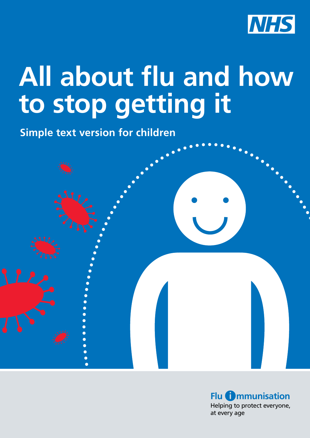

## **All about flu and how to stop getting it**

**Simple text version for children**



Helping to protect everyone, at every age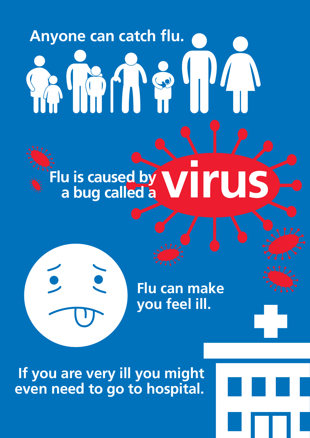# **Anyone can catch fu.** IMM POUL

## **Flu is caused by a bug called a**

**Flu can make you feel ill.**

**If you are very ill you might even need to go to hospital.** 

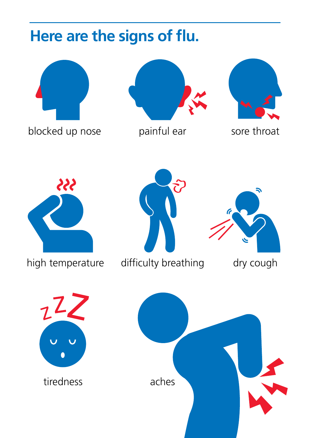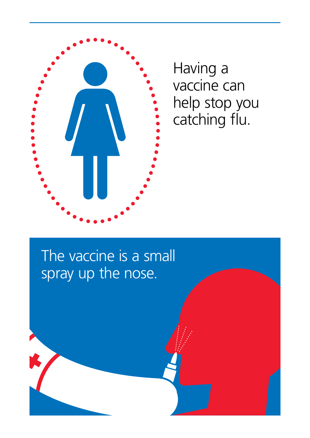

Having a vaccine can help stop you catching flu.

#### The vaccine is a small spray up the nose.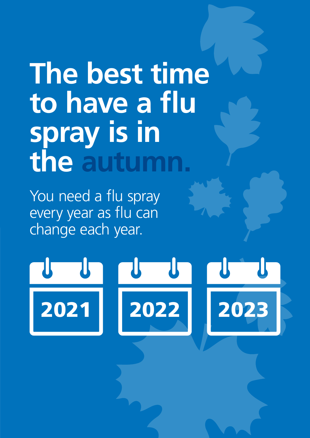## **The best time**  to have a flu **spray is in the autumn.**

You need a flu spray every year as flu can change each year.

## $\mathbf{T}$  $\mathbf{U}^-$ 2021 2022 2023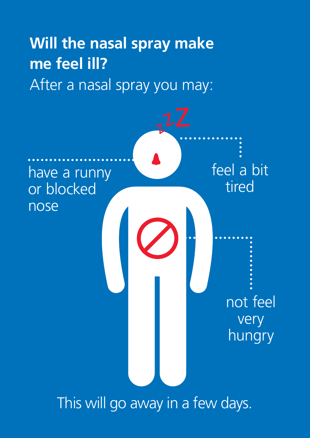#### **Will the nasal spray make me feel ill?** After a nasal spray you may:



This will go away in a few days.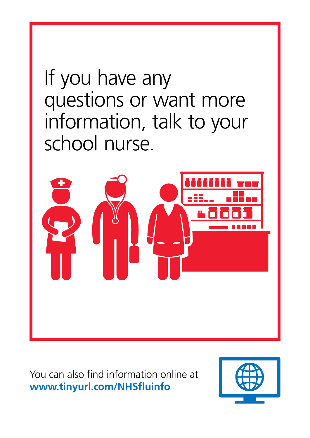## If you have any questions or want more information, talk to your school nurse.



You can also find information online at **[www.tinyurl.com/NHSfuinfo](http://www.tinyurl.com/NHSfluinfo)**